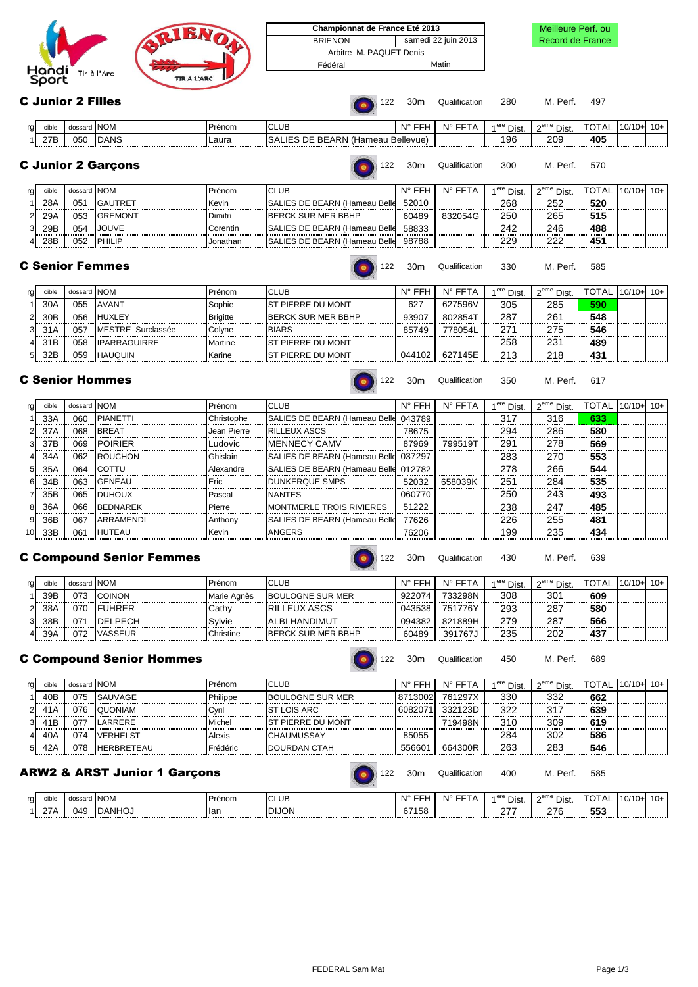|                      |                    | Championnat de France Eté 2013 |                     |
|----------------------|--------------------|--------------------------------|---------------------|
|                      |                    | <b>BRIENON</b>                 | samedi 22 juin 2013 |
|                      |                    | Arbitre M. PAQUET Denis        |                     |
|                      |                    | Fédéral                        | Matin               |
| Hondi<br>Tir à l'Arc | <b>TIR A L'ARC</b> |                                |                     |

# **Championnal Meilleure Perf. ou<br>
Record de France** Record de France

C Junior 2 Filles **C** Junior 2 Filles

| rg | C <sub>1</sub> | dossard NOM |      | Prénom | <b>CLUL</b>                               | EEH<br>N۰ | N° FFT | $4$ ere<br>Dist. | $\sim$ eme<br>`Dist. | <b>TOTA</b><br>$\sim$ . AL | .110/10 | $\Delta$ $\sim$<br>10+ I |
|----|----------------|-------------|------|--------|-------------------------------------------|-----------|--------|------------------|----------------------|----------------------------|---------|--------------------------|
|    | 27B            | 050         | DANS | ∟aura  | <b>BEARN</b><br>™ Hameau<br>---------<br> | Bellevue) |        | 196              | 209                  | 405                        |         |                          |

C Junior 2 Garçons **C** Junior 2 Garcons **122 C** Junior 2 Garcons **122 C** Junior 200 M. Perf. 570

122 30m Qualification 350 M. Perf. 617

| rg, | cible | dossard NOM |                | Prénom   | <b>CLUB</b>                           | N° FFH | N° FFT  | 1 <sup>ere</sup> Dist | $2^{\mathsf{eme}}$ Dist. | TOTAL.   | $10/10+$ | $10+$ |
|-----|-------|-------------|----------------|----------|---------------------------------------|--------|---------|-----------------------|--------------------------|----------|----------|-------|
|     | 28A   | 05          | <b>GAUTRET</b> | Kevin    | <b>ISALIES DE BEARN (Hameau Belle</b> | 52010  |         | 268                   | 252                      | 520      |          |       |
|     | 29A   | 05:         | <b>GREMONT</b> | )imitr   | <b>IBERCK SUR MER BBHP</b>            | 60489  | 832054G | 250                   | 265                      | 515      |          |       |
|     | 29E   | 054         | JOUVE          | orentir: | <b>SALIES DE BEARN (Hameau Belle</b>  | 58833  |         | 242                   | 246                      | 488<br>. |          |       |
|     | 28E   | 052         | <b>IPHILIF</b> | Jonathan | <b>SALIES DE BEARN (Hameau Belle</b>  | 98788  |         | 229                   | າາາ                      | 45       |          |       |

# C Senior Femmes

122 30m Qualification 330 M. Perf. 585

| rg | cible | dossard NOM |                     | Prénom          | <b>CLUB</b>                | $N^{\circ}$ | <b>FFTA</b><br>N۳ | 1 <sup>ere</sup> Dist. | $2eme$ Dist. | TOTAL | $10/10+ 10+$ |  |
|----|-------|-------------|---------------------|-----------------|----------------------------|-------------|-------------------|------------------------|--------------|-------|--------------|--|
|    | 30A   | 055         | <b>AVANT</b>        | Sophie          | <b>IST PIERRE DU MONT</b>  | 627         | 627596V           | 305                    | 285          | 590   |              |  |
|    | 30E   | 056         | <b>HUXLEY</b>       | <b>Brigitte</b> | <b>IBERCK SUR MER BBHP</b> | 93907       | 802854T           | 287                    | 26'          | 548   |              |  |
|    |       | 05.         | MESTRE Surclassée   | Colvne          | <b>BIARS</b>               | 85749       | 778054L           | 27۰                    | 275          | 546   |              |  |
|    |       | 058         | <b>IPARRAGUIRRE</b> | <b>Martine</b>  | <b>IST PIERRE DU MONT</b>  |             |                   | 258                    | 231          | 489   |              |  |
|    | 32E   | 059         | <b>HAUOUIN</b>      | Karine          | IST PIFRRE DU MONT         | 044102      | 627145E           | 213                    | 218          | 431   |              |  |
|    |       |             |                     |                 |                            |             |                   |                        |              |       |              |  |

# C Senior Hommes

| rg              | cible | dossard NOM |                  | Prénom      | <b>CLUB</b>                                  | $N^{\circ}$ FFH | $N^{\circ}$ FFTA | 1 <sup>ere</sup> Dist | $2eme$ Dist. | <b>TOTAL 10/10+</b> | $10+$ |
|-----------------|-------|-------------|------------------|-------------|----------------------------------------------|-----------------|------------------|-----------------------|--------------|---------------------|-------|
|                 | 33A   | 060         | <b>PIANETTI</b>  | Christophe  | SALIES DE BEARN (Hameau Belle 043789         |                 |                  | 317                   | 316          | 633                 |       |
|                 | 37A   | 068         | <b>BREAT</b>     | Jean Pierre | <b>RILLEUX ASCS</b>                          | 78675           |                  | 294                   | 286          | 580                 |       |
|                 | 37B   | 069         | <b>IPOIRIER</b>  | Ludovic     | <b>IMENNECY CAMV</b>                         | 87969           | 799519T          | 291                   | 278          | 569                 |       |
|                 | 34A   | 062         | <b>ROUCHON</b>   | Ghislain    | <b>SALIES DE BEARN (Hameau Belle 037297</b>  |                 |                  | 283                   | 270          | 553                 |       |
|                 | 35A   | 064         | COTTU            | Alexandre   | <b>SALIES DE BEARN (Hameau Belle 012782)</b> |                 |                  | 278                   | 266          | 544                 |       |
|                 | 34B   | 063         | <b>IGENEAU</b>   | Eric        | <b>DUNKEROUE SMPS</b>                        | 52032           | 658039K          | 251                   | 284          | 535                 |       |
|                 | 35B   | 065         | <b>DUHOUX</b>    | Pascal      | <b>NANTES</b>                                | 060770          |                  | 250                   | 243          | 493                 |       |
|                 | 36A   | 066         | <b>IBEDNAREK</b> | Pierre      | <b>MONTMERLE TROIS RIVIERES</b>              | 51222           |                  | 238                   | 247          | 485                 |       |
|                 | 36B   | 067         | ARRAMENDI        | Anthony     | <b>ISALIES DE BEARN (Hameau Belle</b>        | 77626           |                  | 226                   | 255          | 481                 |       |
| 10 <sup>1</sup> | 33B   | 061         | <b>HUTEAU</b>    | Kevin       | ANGERS                                       | 76206           |                  | 199                   | 235          | 434                 |       |

## C Compound Senior Femmes

122 30m Qualification 430 M. Perf. 639

| rg | cible | dossard <b>NOM</b> |                 | Prénom      | <b>CLUB</b>                | EEH<br><b>N</b> <sup>o</sup> | <b>EET</b><br>N۱°<br>P | <sup>4 ere</sup> Dist. | 2 <sup>eme</sup> Dist. | <b>TOTAL</b> | $110/10+$ | $10 +$ |
|----|-------|--------------------|-----------------|-------------|----------------------------|------------------------------|------------------------|------------------------|------------------------|--------------|-----------|--------|
|    | 39B   | 073                | <b>COINON</b>   | Marie Agnès | <b>BOULOGNE SUR MER</b>    | 922074                       | 733298N                | 308                    | 301                    | 609          |           |        |
|    | 38A   | 070                | <b>IFUHRER</b>  | شCathy      | <b>RILLEUX ASCS</b>        | 043538                       | 751776Y                | 293                    | 287                    | 580          |           |        |
|    | 38B   | 07                 | <b>IDELPECH</b> | Sylvie      | IALBI HANDIMUT             | 094382                       | 821889H                | 279                    | 287                    | 566          |           |        |
|    | 39A   | 072                | <b>VASSEUR</b>  | Christine   | <b>IBERCK SUR MER BBHP</b> | 60489                        | 391767、                | 235                    | 202                    | 437          |           |        |

# C Compound Senior Hommes

122 30m Qualification 450 M. Perf. 689

122 30m Qualification 400 M. Perf. 585

| rg | cible | dossard NOM |                   | Prénom   | <b>CLUB</b>               | $N^{\circ}$ FFH | $N^{\circ}$ FFT | 1 <sup>ere</sup> Dist | 2 <sup>eme</sup> Dist | TOTAL | $10/10+$ | $10+$ |
|----|-------|-------------|-------------------|----------|---------------------------|-----------------|-----------------|-----------------------|-----------------------|-------|----------|-------|
|    | 40F   | 075         | <b>SAUVAGE</b>    | Philippe | <b>BOULOGNE SUR MER</b>   | 8713002         | 761297X         | 330                   | 332                   | 662   |          |       |
|    |       | 076         | <b>QUONIAM</b>    | Cvri     | ST LOIS ARC               | 608207          | 332123D         | 322                   | 317                   | 639   |          |       |
|    |       | 07          | LARRERE           | Michel   | <b>IST PIERRE DU MONT</b> |                 | 719498N         | 310                   | 309                   | 619   |          |       |
| 41 | 40A   | 074         | VERHELST          | Alexis   | <b>CHAUMUSSAY</b>         | 85055           |                 | 284                   | 302                   | 586   |          |       |
| 51 | 42/   | 078         | <b>HERBRETEAU</b> | Frédéric | IDOURDAN CTAH             | 55660           | 664300R         | 263                   | 283                   | 546   |          |       |
|    |       |             |                   |          |                           |                 |                 |                       |                       |       |          |       |

## ARW2 & ARST Junior 1 Garçons

| ra l | cible           | dossard | $\cdots$<br>IN<br>N∪IV                        | enom                              | $\sim$<br>◡∟◡∟                 | <b>N<sub>o</sub></b><br>- - - | $N^{\circ}$ FFT | ere<br>Dist. | $\sim$ eme<br>`Dist. | $\mathbf{v}$<br>$\cdot$ $\sim$ $\sim$ | $10/10+$ | 1U+ |
|------|-----------------|---------|-----------------------------------------------|-----------------------------------|--------------------------------|-------------------------------|-----------------|--------------|----------------------|---------------------------------------|----------|-----|
|      | 27 <sub>L</sub> | 049     | $\overline{ }$<br>$\cdots$<br>ľ<br><br>------ | <b>Ilan</b><br>.<br>------------- | <b>AOLI</b><br>.<br>------<br> | $1 - 2$<br>67'<br>158<br>     | .<br>-----      | -<br>        | <b>070</b><br>21 C   | --^<br><br>JJJ                        |          |     |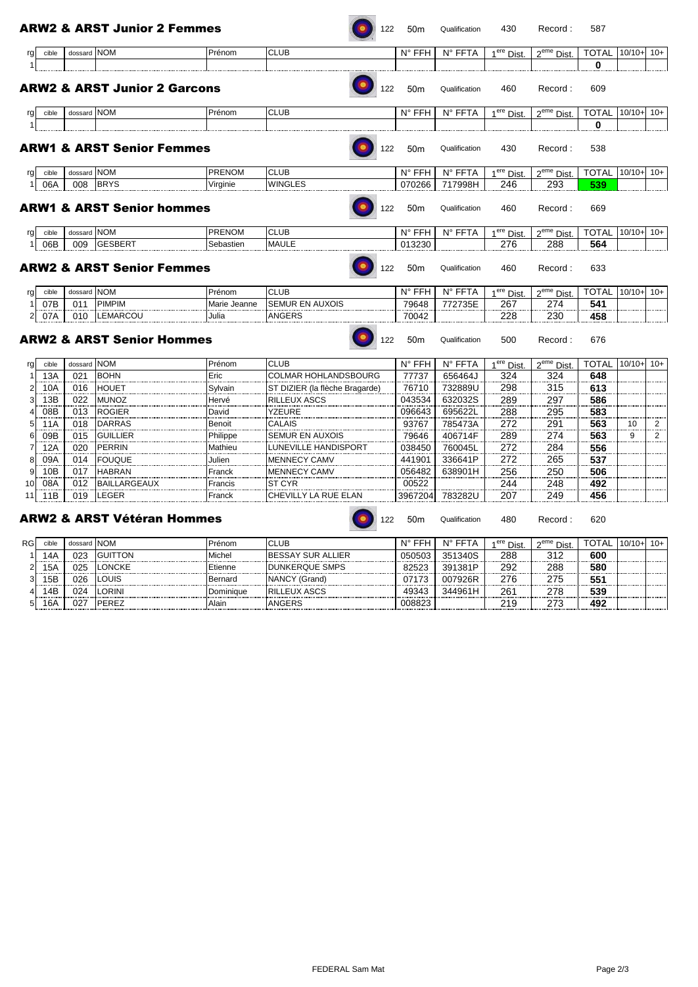|    |       |             | <b>ARW2 &amp; ARST Junior 2 Femmes</b>  |               | 122                            | 50 <sub>m</sub> | Qualification | 430                    | Record:                | 587          |          |       |
|----|-------|-------------|-----------------------------------------|---------------|--------------------------------|-----------------|---------------|------------------------|------------------------|--------------|----------|-------|
| rg | cible | dossard NOM |                                         | Prénom        | <b>CLUB</b>                    | N° FFH          | N° FFTA       | 1 <sup>ere</sup> Dist  | 2 <sup>eme</sup> Dist. | <b>TOTAL</b> | $10/10+$ | $10+$ |
|    |       |             |                                         |               |                                |                 |               |                        |                        | 0            |          |       |
|    |       |             | <b>ARW2 &amp; ARST Junior 2 Garcons</b> |               | 122                            | 50 <sub>m</sub> | Qualification | 460                    | Record:                | 609          |          |       |
| rg | cible | dossard NOM |                                         | Prénom        | <b>CLUB</b>                    | $N^{\circ}$ FFH | N° FFTA       | 1 <sup>ere</sup> Dist. | 2 <sup>eme</sup> Dist. | TOTAL 10/10+ |          | $10+$ |
|    |       |             |                                         |               |                                |                 |               |                        |                        | 0            |          |       |
|    |       |             | <b>ARW1 &amp; ARST Senior Femmes</b>    |               | 122                            | 50 <sub>m</sub> | Qualification | 430                    | Record:                | 538          |          |       |
| rg | cible | dossard NOM |                                         | <b>PRENOM</b> | <b>CLUB</b>                    | $N^{\circ}$ FFH | N° FFTA       | 1 <sup>ere</sup> Dist  | 2 <sup>eme</sup> Dist. | <b>TOTAL</b> | $10/10+$ | $10+$ |
|    | 06A   | 008         | <b>BRYS</b>                             | Virginie      | <b>WINGLES</b>                 | 070266          | 717998H       | 246                    | 293                    | 539          |          |       |
|    |       |             | <b>ARW1 &amp; ARST Senior hommes</b>    |               | 122                            | 50 <sub>m</sub> | Qualification | 460                    | Record:                | 669          |          |       |
| rg | cible | dossard NOM |                                         | <b>PRENOM</b> | <b>CLUB</b>                    | $N^{\circ}$ FFH | N° FFTA       | 1 <sup>ere</sup> Dist. | 2 <sup>eme</sup> Dist. | <b>TOTAL</b> | $10/10+$ | $10+$ |
|    | 06B   | 009         | <b>GESBERT</b>                          | Sebastien     | <b>MAULE</b>                   | 013230          |               | 276                    | 288                    | 564          |          |       |
|    |       |             | <b>ARW2 &amp; ARST Senior Femmes</b>    |               | 122                            | 50 <sub>m</sub> | Qualification | 460                    | Record:                | 633          |          |       |
| rg | cible | dossard NOM |                                         | Prénom        | <b>CLUB</b>                    | N° FFH          | N° FFTA       | $1ere$ Dist            | 2 <sup>eme</sup> Dist  | <b>TOTAL</b> | $10/10+$ | $10+$ |
|    | 07B   | 011         | <b>PIMPIM</b>                           | Marie Jeanne  | <b>SEMUR EN AUXOIS</b>         | 79648           | 772735E       | 267                    | 274                    | 541          |          |       |
| 2  | 07A   | 010         | <b>LEMARCOU</b>                         | Julia         | <b>ANGERS</b>                  | 70042           |               | 228                    | 230                    | 458          |          |       |
|    |       |             | <b>ARW2 &amp; ARST Senior Hommes</b>    |               | 122                            | 50 <sub>m</sub> | Qualification | 500                    | Record:                | 676          |          |       |
| rg | cible | dossard NOM |                                         | Prénom        | <b>CLUB</b>                    | N° FFH          | N° FFTA       | 1 <sup>ere</sup> Dist  | 2 <sup>eme</sup> Dist  | <b>TOTAL</b> | $10/10+$ | $10+$ |
|    | 13A   | 021         | <b>BOHN</b>                             | Eric          | COLMAR HOHLANDSBOURG           | 77737           | 656464J       | 324                    | 324                    | 648          |          |       |
|    | 10A   | 016         | <b>HOUET</b>                            | Sylvain       | ST DIZIER (la flèche Bragarde) | 76710           | 732889U       | 298                    | 315                    | 613          |          |       |
| З  | 13B   | 022         | <b>MUNOZ</b>                            | Hervé         | RILLEUX ASCS                   | 043534          | 632032S       | 289                    | 297                    | 586          |          |       |
|    | 08B   | 013         | <b>ROGIER</b>                           | David         | YZEURE                         | 096643          | 695622L       | 288                    | 295                    | 583          |          |       |
|    | 11A   | 018         | <b>DARRAS</b>                           | Benoit        | CALAIS                         | 93767           | 785473A       | 272                    | 291                    | 563          | 10       | 2     |
|    | 09B   | 015         | <b>GUILLIER</b>                         | Philippe      | SEMUR EN AUXOIS                | 79646           | 406714F       | 289                    | 274                    | 563          | 9        | 2     |
|    | 12A   | 020         | <b>PERRIN</b>                           | Mathieu       | LUNEVILLE HANDISPORT           | 038450          | 760045L       | 272                    | 284                    | 556          |          |       |
|    | 09A   | 014         | <b>FOUQUE</b>                           | Julien        | MENNECY CAMV                   | 441901          | 336641P       | 272                    | 265                    | 537          |          |       |
| 9  | 10B   | 017         | <b>HABRAN</b>                           | Franck        | <b>MENNECY CAMV</b>            | 056482          | 638901H       | 256                    | 250                    | 506          |          |       |

 $\overline{a}$ 

|     |     | <b>ARW2 &amp; ARST Vétéran Hommes</b> |         | 122                         | 50 <sub>m</sub> | Qualification | 480 | Record | 620 |
|-----|-----|---------------------------------------|---------|-----------------------------|-----------------|---------------|-----|--------|-----|
|     | 019 | LEGER                                 | Franck  | <b>CHEVILLY LA RUE ELAN</b> | 3967204         | 783282U       | 207 | 249    | 456 |
| 08/ | 012 | <b>BAILLARGEAUX</b>                   | Francis | <b>ST CYR</b>               | 00522           |               | 244 | 248    | 492 |
| 0B  | 017 | <b>HABRAN</b>                         | Franck  | <b>IMENNECY CAMV</b>        | 056482          | 638901H       | 256 | 250    | 506 |

| RGI  | cible   | dossard NOM |                | Prénom    | <b>CLUB</b>               | N°     | N° FFTA | <sup>ere</sup> Dist. | 2 <sup>eme</sup> Dist. | TOTAL        | $10/10 -$ | l 10+ |
|------|---------|-------------|----------------|-----------|---------------------------|--------|---------|----------------------|------------------------|--------------|-----------|-------|
|      | 47      | 023         | <b>GUITTON</b> | Michel    | <b>IBESSAY SUR ALLIER</b> | 050503 | 351340S | 288                  | 312                    | 600          |           |       |
|      | -<br>57 | 025         | <b>ONCKE</b>   | ≡tienne   | <b>DUNKERQUE SMPS</b>     | 82523  | 391381P | 292                  | 288                    | 580          |           |       |
| ا د. | 5B      | 026         | OUIS           | Bernard   | NANCY (Grand)             | 07172  | 007926R | 276                  | 275                    | $55^{\circ}$ |           |       |
|      | 4F      | 024         | ORINI          | Dominiaue | <b>RILLEUX ASCS</b>       | 19343  | 344961  | 26'                  | 278                    | 539          |           |       |
|      | 6A      | 027         | PFRF7          | Alain     | ANGERS                    | 008823 |         | 219                  | 273                    | 492          |           |       |